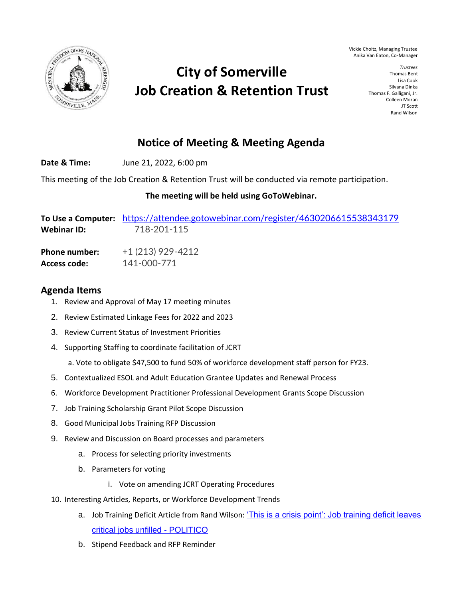



## **City of Somerville Job Creation & Retention Trust**

## **Notice of Meeting & Meeting Agenda**

**Date & Time:** June 21, 2022, 6:00 pm

This meeting of the Job Creation & Retention Trust will be conducted via remote participation.

## **The meeting will be held using GoToWebinar.**

| Webinar ID:          | To Use a Computer: https://attendee.gotowebinar.com/register/4630206615538343179<br>718-201-115 |
|----------------------|-------------------------------------------------------------------------------------------------|
| <b>Phone number:</b> | $+1(213)$ 929-4212                                                                              |
| <b>Access code:</b>  | 141-000-771                                                                                     |

## **Agenda Items**

- 1. Review and Approval of May 17 meeting minutes
- 2. Review Estimated Linkage Fees for 2022 and 2023
- 3. Review Current Status of Investment Priorities
- 4. Supporting Staffing to coordinate facilitation of JCRT

a. Vote to obligate \$47,500 to fund 50% of workforce development staff person for FY23.

- 5. Contextualized ESOL and Adult Education Grantee Updates and Renewal Process
- 6. Workforce Development Practitioner Professional Development Grants Scope Discussion
- 7. Job Training Scholarship Grant Pilot Scope Discussion
- 8. Good Municipal Jobs Training RFP Discussion
- 9. Review and Discussion on Board processes and parameters
	- a. Process for selecting priority investments
	- b. Parameters for voting
		- i. Vote on amending JCRT Operating Procedures
- 10. Interesting Articles, Reports, or Workforce Development Trends
	- a. Job Training Deficit Article from Rand Wilson: 'This is a crisis point': Job training deficit leaves [critical jobs unfilled -](https://www.politico.com/news/2022/05/26/fix-workforce-development-inflation-surges-00033745) POLITICO
	- b. Stipend Feedback and RFP Reminder